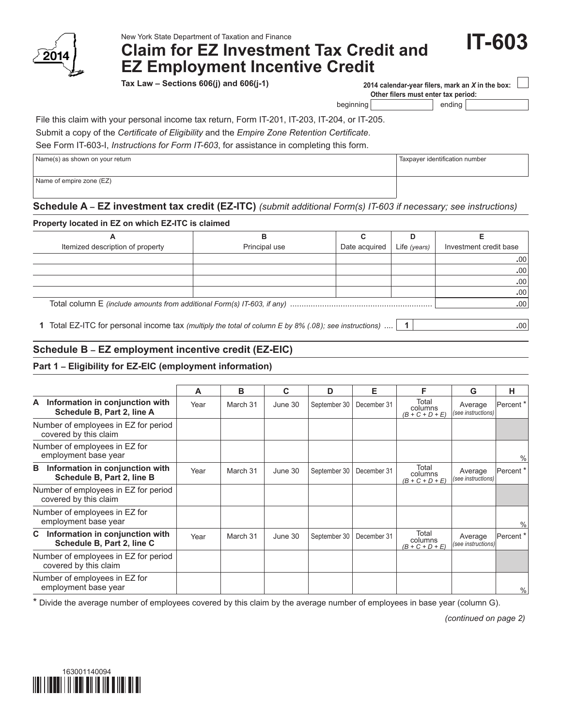

# New York State Department of Taxation and Finance<br>**Claim for EZ Investment Tax Credit and**  Form **IT-603 EZ Employment Incentive Credit**

**Tax Law – Sections 606(j) and 606(j-1)**

**2014 calendar‑year filers, mark an** *X* **in the box: Other filers must enter tax period:**

Taxpayer identification number

beginning ending

File this claim with your personal income tax return, Form IT-201, IT-203, IT-204, or IT-205.

Submit a copy of the *Certificate of Eligibility* and the *Empire Zone Retention Certificate*.

See Form IT-603-I, *Instructions for Form IT-603*, for assistance in completing this form.

| Name(s) as shown on your return |  |
|---------------------------------|--|
|---------------------------------|--|

Name of empire zone (EZ)

### **Schedule A – EZ investment tax credit (EZ-ITC)** *(submit additional Form(s) IT-603 if necessary; see instructions)*

#### **Property located in EZ on which EZ-ITC is claimed**

| Itemized description of property | Principal use | Date acquired | Life (years) | Investment credit base |
|----------------------------------|---------------|---------------|--------------|------------------------|
|                                  |               |               |              | $.00^{\circ}$          |
|                                  |               |               |              | $.00^{\circ}$          |
|                                  |               |               |              | .00 <sub>1</sub>       |
|                                  |               |               |              | .00                    |
|                                  |               |               |              | .00 <sub>1</sub>       |

**1** Total EZ-ITC for personal income tax *(multiply the total of column E by 8% (.08); see instructions)* .... **1 .**00

## **Schedule B – EZ employment incentive credit (EZ-EIC)**

#### **Part 1 – Eligibility for EZ-EIC (employment information)**

|                                                                     | А    | B        | C       | D            | Е           | F                                     | G                             | н                    |
|---------------------------------------------------------------------|------|----------|---------|--------------|-------------|---------------------------------------|-------------------------------|----------------------|
| Information in conjunction with<br>A<br>Schedule B, Part 2, line A  | Year | March 31 | June 30 | September 30 | December 31 | Total<br>columns<br>$(B + C + D + E)$ | Average<br>(see instructions) | Percent <sup>*</sup> |
| Number of employees in EZ for period<br>covered by this claim       |      |          |         |              |             |                                       |                               |                      |
| Number of employees in EZ for<br>employment base year               |      |          |         |              |             |                                       |                               | $\%$                 |
| Information in conjunction with<br>в<br>Schedule B, Part 2, line B  | Year | March 31 | June 30 | September 30 | December 31 | Total<br>columns<br>$(B + C + D + E)$ | Average<br>(see instructions) | Percent*             |
| Number of employees in EZ for period<br>covered by this claim       |      |          |         |              |             |                                       |                               |                      |
| Number of employees in EZ for<br>employment base year               |      |          |         |              |             |                                       |                               | $\%$                 |
| Information in conjunction with<br>C.<br>Schedule B, Part 2, line C | Year | March 31 | June 30 | September 30 | December 31 | Total<br>columns<br>$(B + C + D + E)$ | Average<br>(see instructions) | Percent <sup>*</sup> |
| Number of employees in EZ for period<br>covered by this claim       |      |          |         |              |             |                                       |                               |                      |
| Number of employees in EZ for<br>employment base year               |      |          |         |              |             |                                       |                               | $\%$                 |

\* Divide the average number of employees covered by this claim by the average number of employees in base year (column G).

*(continued on page 2)*

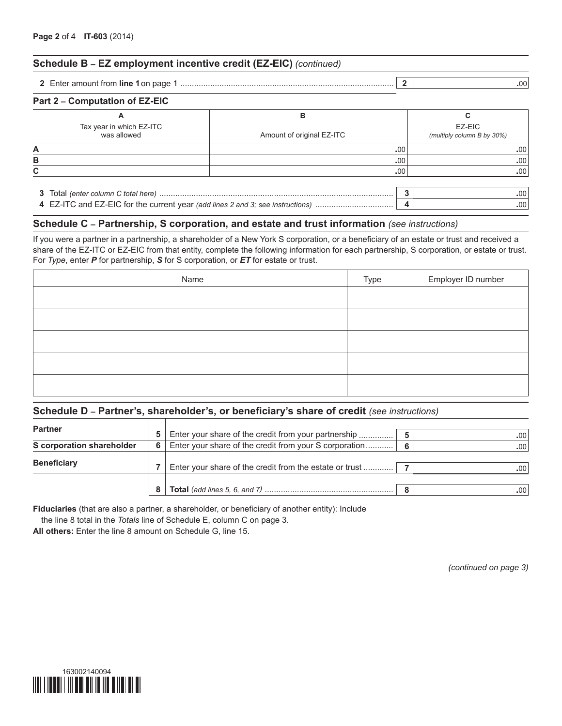#### **Schedule B – EZ employment incentive credit (EZ-EIC)** *(continued)*

**2** Enter amount from **line 1**on page 1 ............................................................................................. **2 .**00

| Part 2 – Computation of EZ-EIC          |                           |                                      |
|-----------------------------------------|---------------------------|--------------------------------------|
| Α                                       | в                         |                                      |
| Tax year in which EZ-ITC<br>was allowed | Amount of original EZ-ITC | EZ-EIC<br>(multiply column B by 30%) |
| А                                       | .00                       | .00                                  |
| В                                       | .00                       | .00                                  |
| C.                                      | .00                       | .00                                  |
|                                         |                           |                                      |
|                                         |                           | .00                                  |

#### **Schedule C – Partnership, S corporation, and estate and trust information** *(see instructions)*

If you were a partner in a partnership, a shareholder of a New York S corporation, or a beneficiary of an estate or trust and received a share of the EZ-ITC or EZ-EIC from that entity, complete the following information for each partnership, S corporation, or estate or trust. For *Type*, enter *P* for partnership, *S* for S corporation, or *ET* for estate or trust.

**4** EZ-ITC and EZ-EIC for the current year *(add lines 2 and 3; see instructions)* .................................. **4 .**00

| Name | Type | Employer ID number |
|------|------|--------------------|
|      |      |                    |
|      |      |                    |
|      |      |                    |
|      |      |                    |
|      |      |                    |

#### **Schedule D – Partner's, shareholder's, or beneficiary's share of credit** *(see instructions)*

| <b>Partner</b><br>5.      |    |                                                         |   |      |
|---------------------------|----|---------------------------------------------------------|---|------|
|                           |    | Enter your share of the credit from your partnership    |   | .00  |
| S corporation shareholder | 6. | Enter your share of the credit from your S corporation  | 6 | .00  |
|                           |    |                                                         |   |      |
| <b>Beneficiary</b>        |    | Enter your share of the credit from the estate or trust |   | .00  |
|                           |    |                                                         |   |      |
|                           |    |                                                         | 8 | .00. |

**Fiduciaries** (that are also a partner, a shareholder, or beneficiary of another entity): Include

the line 8 total in the *Totals* line of Schedule E, column C on page 3.

**All others:** Enter the line 8 amount on Schedule G, line 15.

*(continued on page 3)*

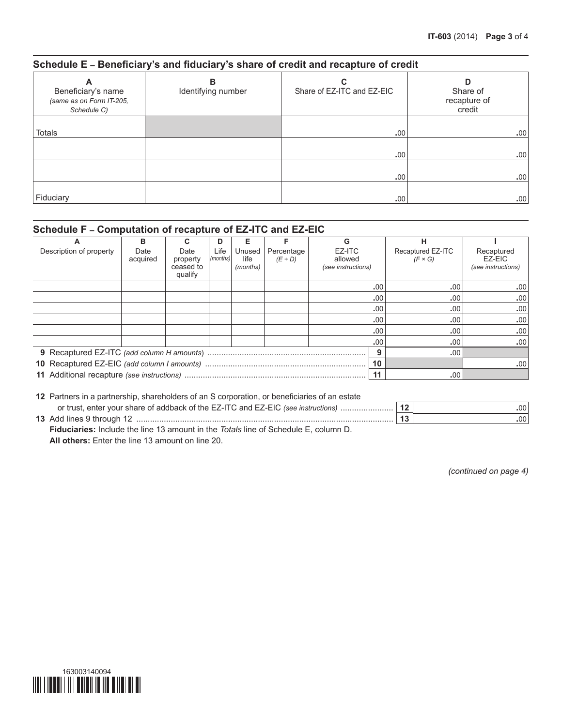#### **Schedule E – Beneficiary's and fiduciary's share of credit and recapture of credit**

| A<br>Beneficiary's name<br>(same as on Form IT-205,<br>Schedule C) | в<br>Identifying number | C<br>Share of EZ-ITC and EZ-EIC | D<br>Share of<br>recapture of<br>credit |
|--------------------------------------------------------------------|-------------------------|---------------------------------|-----------------------------------------|
| Totals                                                             |                         | .00                             | .00                                     |
|                                                                    |                         | .00                             | .00                                     |
|                                                                    |                         | .00                             | .00.                                    |
| Fiduciary                                                          |                         | .00.                            | .00                                     |

# **Schedule F – Computation of recapture of EZ-ITC and EZ-EIC**

| A                       | в                |                                          | D                | Е                          |                            | G                                       | н                                   |                                            |
|-------------------------|------------------|------------------------------------------|------------------|----------------------------|----------------------------|-----------------------------------------|-------------------------------------|--------------------------------------------|
| Description of property | Date<br>acquired | Date<br>property<br>ceased to<br>qualify | Life<br>(months) | Unused<br>life<br>(months) | Percentage<br>$(E \div D)$ | EZ-ITC<br>allowed<br>(see instructions) | Recaptured EZ-ITC<br>$(F \times G)$ | Recaptured<br>EZ-EIC<br>(see instructions) |
|                         |                  |                                          |                  |                            |                            | .00                                     | .00                                 | .00 <sub>1</sub>                           |
|                         |                  |                                          |                  |                            |                            | .00                                     | .00                                 | .00                                        |
|                         |                  |                                          |                  |                            |                            | .00                                     | .00                                 | .00                                        |
|                         |                  |                                          |                  |                            |                            | .00                                     | .00                                 | .00 <sub>1</sub>                           |
|                         |                  |                                          |                  |                            |                            | .00                                     | .00                                 | .00                                        |
|                         |                  |                                          |                  |                            |                            | .00                                     | .00                                 | .001                                       |
|                         |                  |                                          |                  |                            |                            |                                         | .00                                 |                                            |
|                         |                  |                                          |                  |                            |                            | 10                                      |                                     | .00 <sub>1</sub>                           |
|                         |                  |                                          |                  |                            |                            | 11                                      | .00.                                |                                            |

| 12 Partners in a partnership, shareholders of an S corporation, or beneficiaries of an estate     |    |                  |  |  |  |  |  |
|---------------------------------------------------------------------------------------------------|----|------------------|--|--|--|--|--|
|                                                                                                   |    | .00 <sub>1</sub> |  |  |  |  |  |
|                                                                                                   | 13 | .00              |  |  |  |  |  |
| <b>Fiduciaries:</b> Include the line 13 amount in the <i>Totals</i> line of Schedule E, column D. |    |                  |  |  |  |  |  |
| All others $F_{\text{in}}$ the the Box $40$ correspondent Box $00$                                |    |                  |  |  |  |  |  |

**All others:** Enter the line 13 amount on line 20.

*(continued on page 4)*